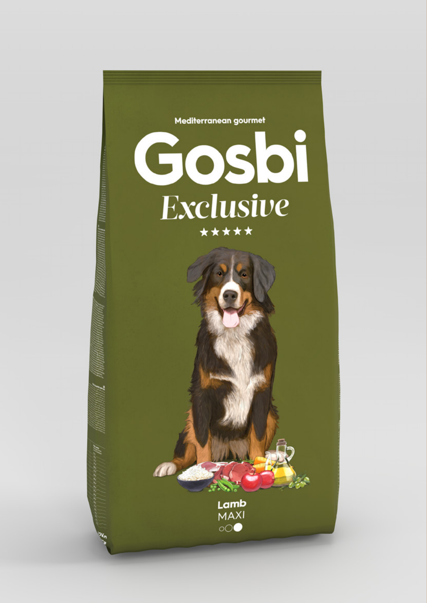